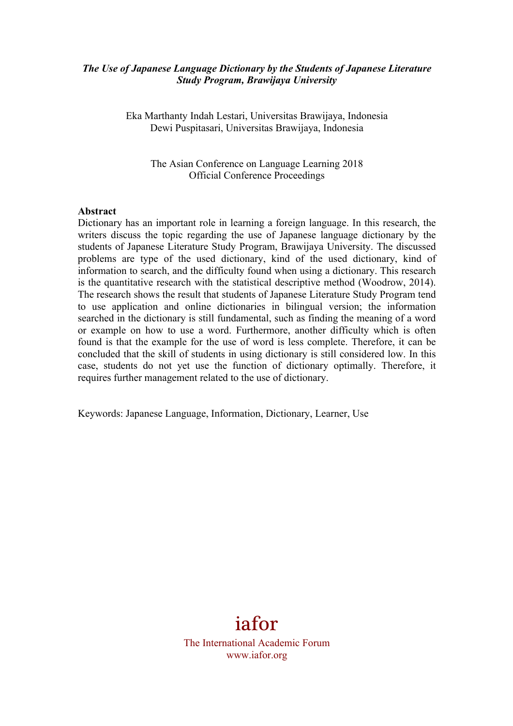### *The Use of Japanese Language Dictionary by the Students of Japanese Literature Study Program, Brawijaya University*

Eka Marthanty Indah Lestari, Universitas Brawijaya, Indonesia Dewi Puspitasari, Universitas Brawijaya, Indonesia

The Asian Conference on Language Learning 2018 Official Conference Proceedings

#### **Abstract**

Dictionary has an important role in learning a foreign language. In this research, the writers discuss the topic regarding the use of Japanese language dictionary by the students of Japanese Literature Study Program, Brawijaya University. The discussed problems are type of the used dictionary, kind of the used dictionary, kind of information to search, and the difficulty found when using a dictionary. This research is the quantitative research with the statistical descriptive method (Woodrow, 2014). The research shows the result that students of Japanese Literature Study Program tend to use application and online dictionaries in bilingual version; the information searched in the dictionary is still fundamental, such as finding the meaning of a word or example on how to use a word. Furthermore, another difficulty which is often found is that the example for the use of word is less complete. Therefore, it can be concluded that the skill of students in using dictionary is still considered low. In this case, students do not yet use the function of dictionary optimally. Therefore, it requires further management related to the use of dictionary.

Keywords: Japanese Language, Information, Dictionary, Learner, Use

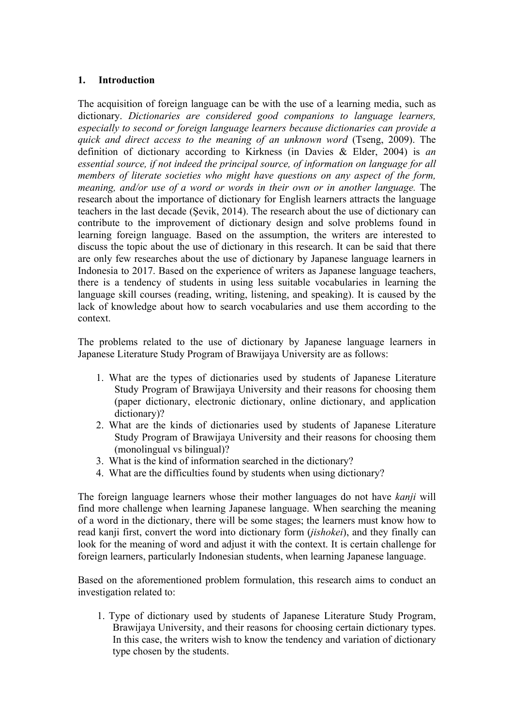## **1. Introduction**

The acquisition of foreign language can be with the use of a learning media, such as dictionary. *Dictionaries are considered good companions to language learners, especially to second or foreign language learners because dictionaries can provide a quick and direct access to the meaning of an unknown word* (Tseng, 2009). The definition of dictionary according to Kirkness (in Davies & Elder, 2004) is *an essential source, if not indeed the principal source, of information on language for all members of literate societies who might have questions on any aspect of the form, meaning, and/or use of a word or words in their own or in another language.* The research about the importance of dictionary for English learners attracts the language teachers in the last decade (Şevik, 2014). The research about the use of dictionary can contribute to the improvement of dictionary design and solve problems found in learning foreign language. Based on the assumption, the writers are interested to discuss the topic about the use of dictionary in this research. It can be said that there are only few researches about the use of dictionary by Japanese language learners in Indonesia to 2017. Based on the experience of writers as Japanese language teachers, there is a tendency of students in using less suitable vocabularies in learning the language skill courses (reading, writing, listening, and speaking). It is caused by the lack of knowledge about how to search vocabularies and use them according to the context.

The problems related to the use of dictionary by Japanese language learners in Japanese Literature Study Program of Brawijaya University are as follows:

- 1. What are the types of dictionaries used by students of Japanese Literature Study Program of Brawijaya University and their reasons for choosing them (paper dictionary, electronic dictionary, online dictionary, and application dictionary)?
- 2. What are the kinds of dictionaries used by students of Japanese Literature Study Program of Brawijaya University and their reasons for choosing them (monolingual vs bilingual)?
- 3. What is the kind of information searched in the dictionary?
- 4. What are the difficulties found by students when using dictionary?

The foreign language learners whose their mother languages do not have *kanji* will find more challenge when learning Japanese language. When searching the meaning of a word in the dictionary, there will be some stages; the learners must know how to read kanji first, convert the word into dictionary form (*jishokei*), and they finally can look for the meaning of word and adjust it with the context. It is certain challenge for foreign learners, particularly Indonesian students, when learning Japanese language.

Based on the aforementioned problem formulation, this research aims to conduct an investigation related to:

1. Type of dictionary used by students of Japanese Literature Study Program, Brawijaya University, and their reasons for choosing certain dictionary types. In this case, the writers wish to know the tendency and variation of dictionary type chosen by the students.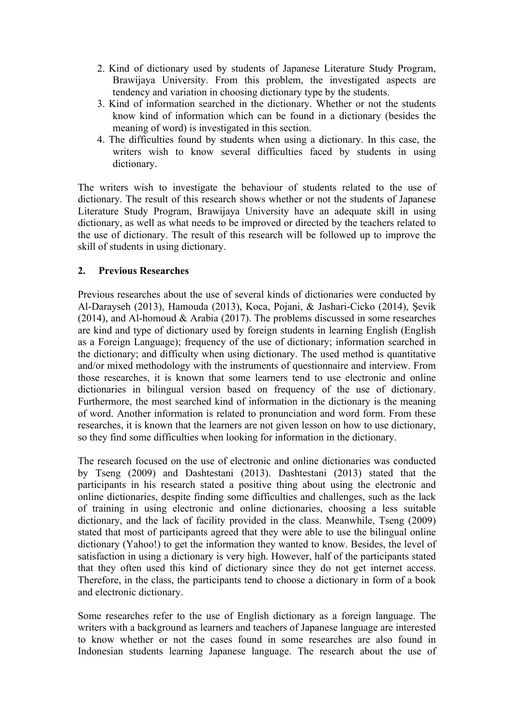- 2. Kind of dictionary used by students of Japanese Literature Study Program, Brawijaya University. From this problem, the investigated aspects are tendency and variation in choosing dictionary type by the students.
- 3. Kind of information searched in the dictionary. Whether or not the students know kind of information which can be found in a dictionary (besides the meaning of word) is investigated in this section.
- 4. The difficulties found by students when using a dictionary. In this case, the writers wish to know several difficulties faced by students in using dictionary.

The writers wish to investigate the behaviour of students related to the use of dictionary. The result of this research shows whether or not the students of Japanese Literature Study Program, Brawijaya University have an adequate skill in using dictionary, as well as what needs to be improved or directed by the teachers related to the use of dictionary. The result of this research will be followed up to improve the skill of students in using dictionary.

# **2. Previous Researches**

Previous researches about the use of several kinds of dictionaries were conducted by Al-Darayseh (2013), Hamouda (2013), Koca, Pojani, & Jashari-Cicko (2014), Şevik (2014), and Al-homoud  $& Arabia (2017)$ . The problems discussed in some researches are kind and type of dictionary used by foreign students in learning English (English as a Foreign Language); frequency of the use of dictionary; information searched in the dictionary; and difficulty when using dictionary. The used method is quantitative and/or mixed methodology with the instruments of questionnaire and interview. From those researches, it is known that some learners tend to use electronic and online dictionaries in bilingual version based on frequency of the use of dictionary. Furthermore, the most searched kind of information in the dictionary is the meaning of word. Another information is related to pronunciation and word form. From these researches, it is known that the learners are not given lesson on how to use dictionary, so they find some difficulties when looking for information in the dictionary.

The research focused on the use of electronic and online dictionaries was conducted by Tseng (2009) and Dashtestani (2013). Dashtestani (2013) stated that the participants in his research stated a positive thing about using the electronic and online dictionaries, despite finding some difficulties and challenges, such as the lack of training in using electronic and online dictionaries, choosing a less suitable dictionary, and the lack of facility provided in the class. Meanwhile, Tseng (2009) stated that most of participants agreed that they were able to use the bilingual online dictionary (Yahoo!) to get the information they wanted to know. Besides, the level of satisfaction in using a dictionary is very high. However, half of the participants stated that they often used this kind of dictionary since they do not get internet access. Therefore, in the class, the participants tend to choose a dictionary in form of a book and electronic dictionary.

Some researches refer to the use of English dictionary as a foreign language. The writers with a background as learners and teachers of Japanese language are interested to know whether or not the cases found in some researches are also found in Indonesian students learning Japanese language. The research about the use of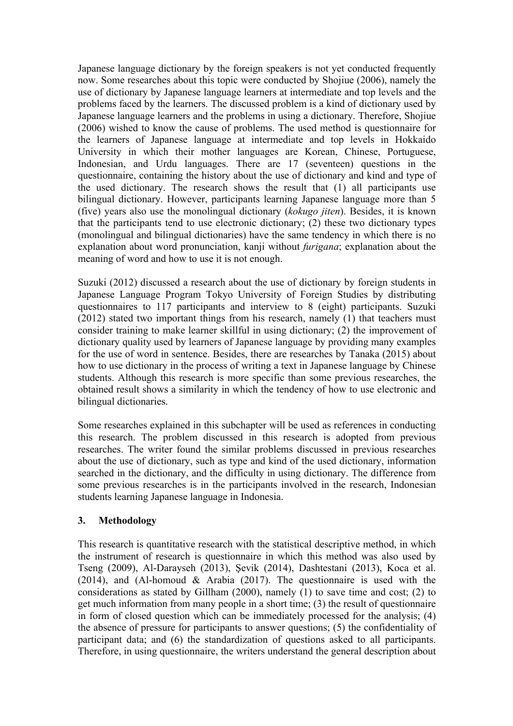Japanese language dictionary by the foreign speakers is not yet conducted frequently now. Some researches about this topic were conducted by Shojiue (2006), namely the use of dictionary by Japanese language learners at intermediate and top levels and the problems faced by the learners. The discussed problem is a kind of dictionary used by Japanese language learners and the problems in using a dictionary. Therefore, Shojiue (2006) wished to know the cause of problems. The used method is questionnaire for the learners of Japanese language at intermediate and top levels in Hokkaido University in which their mother languages are Korean, Chinese, Portuguese, Indonesian, and Urdu languages. There are 17 (seventeen) questions in the questionnaire, containing the history about the use of dictionary and kind and type of the used dictionary. The research shows the result that (1) all participants use bilingual dictionary. However, participants learning Japanese language more than 5 (five) years also use the monolingual dictionary (*kokugo jiten*). Besides, it is known that the participants tend to use electronic dictionary; (2) these two dictionary types (monolingual and bilingual dictionaries) have the same tendency in which there is no explanation about word pronunciation, kanji without *furigana*; explanation about the meaning of word and how to use it is not enough.

Suzuki (2012) discussed a research about the use of dictionary by foreign students in Japanese Language Program Tokyo University of Foreign Studies by distributing questionnaires to 117 participants and interview to 8 (eight) participants. Suzuki (2012) stated two important things from his research, namely (1) that teachers must consider training to make learner skillful in using dictionary; (2) the improvement of dictionary quality used by learners of Japanese language by providing many examples for the use of word in sentence. Besides, there are researches by Tanaka (2015) about how to use dictionary in the process of writing a text in Japanese language by Chinese students. Although this research is more specific than some previous researches, the obtained result shows a similarity in which the tendency of how to use electronic and bilingual dictionaries.

Some researches explained in this subchapter will be used as references in conducting this research. The problem discussed in this research is adopted from previous researches. The writer found the similar problems discussed in previous researches about the use of dictionary, such as type and kind of the used dictionary, information searched in the dictionary, and the difficulty in using dictionary. The difference from some previous researches is in the participants involved in the research, Indonesian students learning Japanese language in Indonesia.

# **3. Methodology**

This research is quantitative research with the statistical descriptive method, in which the instrument of research is questionnaire in which this method was also used by Tseng (2009), Al-Darayseh (2013), Şevik (2014), Dashtestani (2013), Koca et al. (2014), and (Al-homoud  $\&$  Arabia (2017). The questionnaire is used with the considerations as stated by Gillham (2000), namely (1) to save time and cost; (2) to get much information from many people in a short time; (3) the result of questionnaire in form of closed question which can be immediately processed for the analysis; (4) the absence of pressure for participants to answer questions; (5) the confidentiality of participant data; and (6) the standardization of questions asked to all participants. Therefore, in using questionnaire, the writers understand the general description about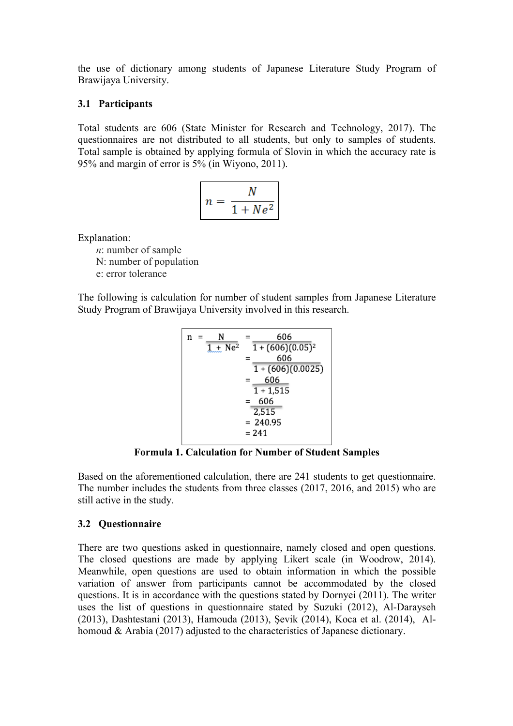the use of dictionary among students of Japanese Literature Study Program of Brawijaya University.

## **3.1 Participants**

Total students are 606 (State Minister for Research and Technology, 2017). The questionnaires are not distributed to all students, but only to samples of students. Total sample is obtained by applying formula of Slovin in which the accuracy rate is 95% and margin of error is 5% (in Wiyono, 2011).

$$
n = \frac{N}{1 + Ne^2}
$$

Explanation:

*n*: number of sample

N: number of population

e: error tolerance

The following is calculation for number of student samples from Japanese Literature Study Program of Brawijaya University involved in this research.

| n | N<br>$1 + Ne^2$ | 606<br>$1 + (606)(0.05)^2$ |
|---|-----------------|----------------------------|
|   |                 | 606                        |
|   |                 | $1 + (606)(0.0025)$        |
|   |                 | 606                        |
|   |                 | $1 + 1,515$                |
|   |                 | 606                        |
|   |                 | 2,515                      |
|   |                 | $= 240.95$                 |
|   |                 | = 241                      |

**Formula 1. Calculation for Number of Student Samples**

Based on the aforementioned calculation, there are 241 students to get questionnaire. The number includes the students from three classes (2017, 2016, and 2015) who are still active in the study.

# **3.2 Questionnaire**

There are two questions asked in questionnaire, namely closed and open questions. The closed questions are made by applying Likert scale (in Woodrow, 2014). Meanwhile, open questions are used to obtain information in which the possible variation of answer from participants cannot be accommodated by the closed questions. It is in accordance with the questions stated by Dornyei (2011). The writer uses the list of questions in questionnaire stated by Suzuki (2012), Al-Darayseh (2013), Dashtestani (2013), Hamouda (2013), Şevik (2014), Koca et al. (2014), Alhomoud & Arabia (2017) adjusted to the characteristics of Japanese dictionary.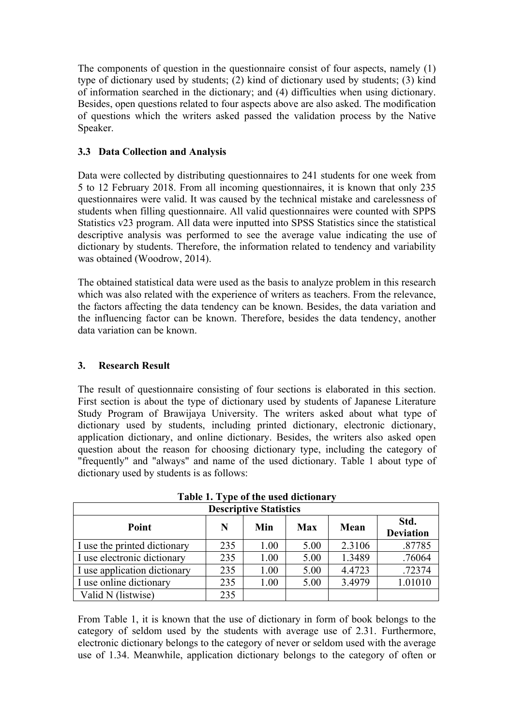The components of question in the questionnaire consist of four aspects, namely (1) type of dictionary used by students; (2) kind of dictionary used by students; (3) kind of information searched in the dictionary; and (4) difficulties when using dictionary. Besides, open questions related to four aspects above are also asked. The modification of questions which the writers asked passed the validation process by the Native Speaker.

# **3.3 Data Collection and Analysis**

Data were collected by distributing questionnaires to 241 students for one week from 5 to 12 February 2018. From all incoming questionnaires, it is known that only 235 questionnaires were valid. It was caused by the technical mistake and carelessness of students when filling questionnaire. All valid questionnaires were counted with SPPS Statistics v23 program. All data were inputted into SPSS Statistics since the statistical descriptive analysis was performed to see the average value indicating the use of dictionary by students. Therefore, the information related to tendency and variability was obtained (Woodrow, 2014).

The obtained statistical data were used as the basis to analyze problem in this research which was also related with the experience of writers as teachers. From the relevance, the factors affecting the data tendency can be known. Besides, the data variation and the influencing factor can be known. Therefore, besides the data tendency, another data variation can be known.

# **3. Research Result**

The result of questionnaire consisting of four sections is elaborated in this section. First section is about the type of dictionary used by students of Japanese Literature Study Program of Brawijaya University. The writers asked about what type of dictionary used by students, including printed dictionary, electronic dictionary, application dictionary, and online dictionary. Besides, the writers also asked open question about the reason for choosing dictionary type, including the category of "frequently" and "always" and name of the used dictionary. Table 1 about type of dictionary used by students is as follows:

| <b>Descriptive Statistics</b> |     |      |            |        |                          |  |  |  |
|-------------------------------|-----|------|------------|--------|--------------------------|--|--|--|
| Point                         | N   | Min  | <b>Max</b> | Mean   | Std.<br><b>Deviation</b> |  |  |  |
| I use the printed dictionary  | 235 | 1.00 | 5.00       | 2.3106 | .87785                   |  |  |  |
| I use electronic dictionary   | 235 | 1.00 | 5.00       | 1.3489 | .76064                   |  |  |  |
| I use application dictionary  | 235 | 1.00 | 5.00       | 4.4723 | .72374                   |  |  |  |
| I use online dictionary       | 235 | 1.00 | 5.00       | 3.4979 | 1.01010                  |  |  |  |
| Valid N (listwise)            | 235 |      |            |        |                          |  |  |  |

**Table 1. Type of the used dictionary**

From Table 1, it is known that the use of dictionary in form of book belongs to the category of seldom used by the students with average use of 2.31. Furthermore, electronic dictionary belongs to the category of never or seldom used with the average use of 1.34. Meanwhile, application dictionary belongs to the category of often or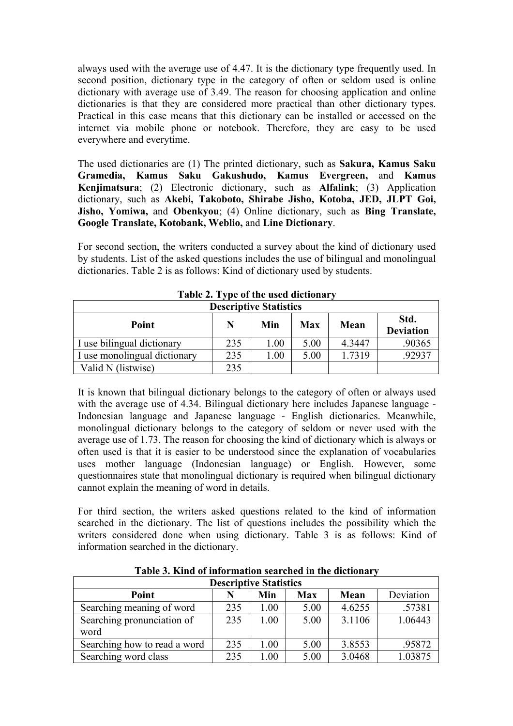always used with the average use of 4.47. It is the dictionary type frequently used. In second position, dictionary type in the category of often or seldom used is online dictionary with average use of 3.49. The reason for choosing application and online dictionaries is that they are considered more practical than other dictionary types. Practical in this case means that this dictionary can be installed or accessed on the internet via mobile phone or notebook. Therefore, they are easy to be used everywhere and everytime.

The used dictionaries are (1) The printed dictionary, such as **Sakura, Kamus Saku Gramedia, Kamus Saku Gakushudo, Kamus Evergreen,** and **Kamus Kenjimatsura**; (2) Electronic dictionary, such as **Alfalink**; (3) Application dictionary, such as **Akebi, Takoboto, Shirabe Jisho, Kotoba, JED, JLPT Goi, Jisho, Yomiwa,** and **Obenkyou**; (4) Online dictionary, such as **Bing Translate, Google Translate, Kotobank, Weblio,** and **Line Dictionary**.

For second section, the writers conducted a survey about the kind of dictionary used by students. List of the asked questions includes the use of bilingual and monolingual dictionaries. Table 2 is as follows: Kind of dictionary used by students.

| <b>Descriptive Statistics</b>                                              |     |      |      |        |        |  |  |
|----------------------------------------------------------------------------|-----|------|------|--------|--------|--|--|
| Std.<br>Min<br>N<br><b>Max</b><br>Point<br><b>Mean</b><br><b>Deviation</b> |     |      |      |        |        |  |  |
| I use bilingual dictionary                                                 | 235 | 1.00 | 5.00 | 4.3447 | .90365 |  |  |
| I use monolingual dictionary                                               | 235 | 1.00 | 5.00 | 1.7319 | .92937 |  |  |
| Valid N (listwise)                                                         | 235 |      |      |        |        |  |  |

**Table 2. Type of the used dictionary**

It is known that bilingual dictionary belongs to the category of often or always used with the average use of 4.34. Bilingual dictionary here includes Japanese language -Indonesian language and Japanese language - English dictionaries. Meanwhile, monolingual dictionary belongs to the category of seldom or never used with the average use of 1.73. The reason for choosing the kind of dictionary which is always or often used is that it is easier to be understood since the explanation of vocabularies uses mother language (Indonesian language) or English. However, some questionnaires state that monolingual dictionary is required when bilingual dictionary cannot explain the meaning of word in details.

For third section, the writers asked questions related to the kind of information searched in the dictionary. The list of questions includes the possibility which the writers considered done when using dictionary. Table 3 is as follows: Kind of information searched in the dictionary.

| <b>Descriptive Statistics</b>                   |     |      |      |        |         |  |  |  |
|-------------------------------------------------|-----|------|------|--------|---------|--|--|--|
| Deviation<br><b>Max</b><br>Point<br>Mean<br>Min |     |      |      |        |         |  |  |  |
| Searching meaning of word                       | 235 | 1.00 | 5.00 | 4.6255 | .57381  |  |  |  |
| Searching pronunciation of                      | 235 | 1.00 | 5.00 | 3.1106 | 1.06443 |  |  |  |
| word                                            |     |      |      |        |         |  |  |  |
| Searching how to read a word                    | 235 | 1.00 | 5.00 | 3.8553 | .95872  |  |  |  |
| Searching word class                            | 235 | 00.  | 5.00 | 3.0468 | 1.03875 |  |  |  |

**Table 3. Kind of information searched in the dictionary**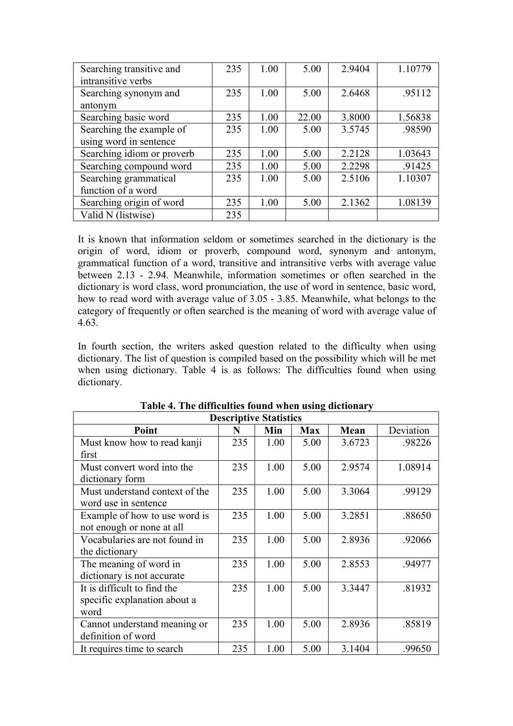| Searching transitive and   | 235 | 1.00 | 5.00  | 2.9404 | 1.10779 |
|----------------------------|-----|------|-------|--------|---------|
| intransitive verbs         |     |      |       |        |         |
| Searching synonym and      | 235 | 1.00 | 5.00  | 2.6468 | .95112  |
| antonym                    |     |      |       |        |         |
| Searching basic word       | 235 | 1.00 | 22.00 | 3.8000 | 1.56838 |
| Searching the example of   | 235 | 1.00 | 5.00  | 3.5745 | .98590  |
| using word in sentence     |     |      |       |        |         |
| Searching idiom or proverb | 235 | 1.00 | 5.00  | 2.2128 | 1.03643 |
| Searching compound word    | 235 | 1.00 | 5.00  | 2.2298 | .91425  |
| Searching grammatical      | 235 | 1.00 | 5.00  | 2.5106 | 1.10307 |
| function of a word         |     |      |       |        |         |
| Searching origin of word   | 235 | 1.00 | 5.00  | 2.1362 | 1.08139 |
| Valid N (listwise)         | 235 |      |       |        |         |

It is known that information seldom or sometimes searched in the dictionary is the origin of word, idiom or proverb, compound word, synonym and antonym, grammatical function of a word, transitive and intransitive verbs with average value between 2.13 - 2.94. Meanwhile, information sometimes or often searched in the dictionary is word class, word pronunciation, the use of word in sentence, basic word, how to read word with average value of 3.05 - 3.85. Meanwhile, what belongs to the category of frequently or often searched is the meaning of word with average value of 4.63.

In fourth section, the writers asked question related to the difficulty when using dictionary. The list of question is compiled based on the possibility which will be met when using dictionary. Table 4 is as follows: The difficulties found when using dictionary.

| <b>Descriptive Statistics</b>  |     |      |            |        |           |  |  |
|--------------------------------|-----|------|------------|--------|-----------|--|--|
| Point                          | N   | Min  | <b>Max</b> | Mean   | Deviation |  |  |
| Must know how to read kanji    | 235 | 1.00 | 5.00       | 3.6723 | .98226    |  |  |
| first                          |     |      |            |        |           |  |  |
| Must convert word into the     | 235 | 1.00 | 5.00       | 2.9574 | 1.08914   |  |  |
| dictionary form                |     |      |            |        |           |  |  |
| Must understand context of the | 235 | 1.00 | 5.00       | 3.3064 | .99129    |  |  |
| word use in sentence           |     |      |            |        |           |  |  |
| Example of how to use word is  | 235 | 1.00 | 5.00       | 3.2851 | .88650    |  |  |
| not enough or none at all      |     |      |            |        |           |  |  |
| Vocabularies are not found in  | 235 | 1.00 | 5.00       | 2.8936 | .92066    |  |  |
| the dictionary                 |     |      |            |        |           |  |  |
| The meaning of word in         | 235 | 1.00 | 5.00       | 2.8553 | .94977    |  |  |
| dictionary is not accurate     |     |      |            |        |           |  |  |
| It is difficult to find the    | 235 | 1.00 | 5.00       | 3.3447 | .81932    |  |  |
| specific explanation about a   |     |      |            |        |           |  |  |
| word                           |     |      |            |        |           |  |  |
| Cannot understand meaning or   | 235 | 1.00 | 5.00       | 2.8936 | .85819    |  |  |
| definition of word             |     |      |            |        |           |  |  |
| It requires time to search     | 235 | 1.00 | 5.00       | 3.1404 | .99650    |  |  |

# **Table 4. The difficulties found when using dictionary**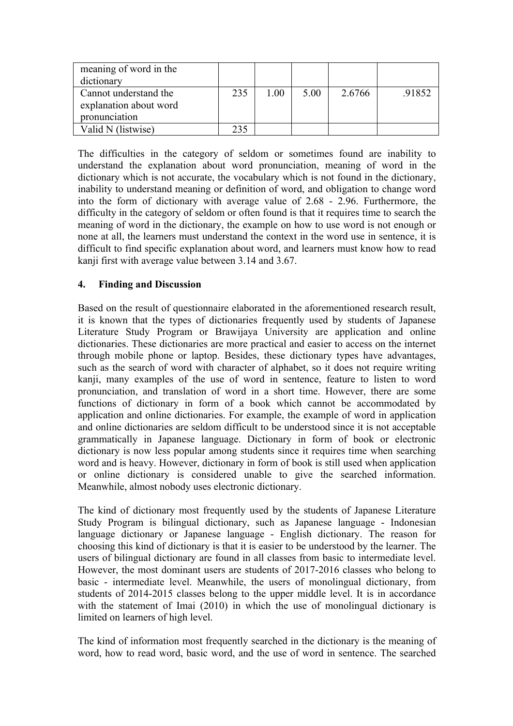| meaning of word in the<br>dictionary                             |     |      |      |        |        |
|------------------------------------------------------------------|-----|------|------|--------|--------|
| Cannot understand the<br>explanation about word<br>pronunciation | 235 | 1.00 | 5.00 | 2.6766 | .91852 |
| Valid N (listwise)                                               | 235 |      |      |        |        |

The difficulties in the category of seldom or sometimes found are inability to understand the explanation about word pronunciation, meaning of word in the dictionary which is not accurate, the vocabulary which is not found in the dictionary, inability to understand meaning or definition of word, and obligation to change word into the form of dictionary with average value of 2.68 - 2.96. Furthermore, the difficulty in the category of seldom or often found is that it requires time to search the meaning of word in the dictionary, the example on how to use word is not enough or none at all, the learners must understand the context in the word use in sentence, it is difficult to find specific explanation about word, and learners must know how to read kanji first with average value between 3.14 and 3.67.

# **4. Finding and Discussion**

Based on the result of questionnaire elaborated in the aforementioned research result, it is known that the types of dictionaries frequently used by students of Japanese Literature Study Program or Brawijaya University are application and online dictionaries. These dictionaries are more practical and easier to access on the internet through mobile phone or laptop. Besides, these dictionary types have advantages, such as the search of word with character of alphabet, so it does not require writing kanji, many examples of the use of word in sentence, feature to listen to word pronunciation, and translation of word in a short time. However, there are some functions of dictionary in form of a book which cannot be accommodated by application and online dictionaries. For example, the example of word in application and online dictionaries are seldom difficult to be understood since it is not acceptable grammatically in Japanese language. Dictionary in form of book or electronic dictionary is now less popular among students since it requires time when searching word and is heavy. However, dictionary in form of book is still used when application or online dictionary is considered unable to give the searched information. Meanwhile, almost nobody uses electronic dictionary.

The kind of dictionary most frequently used by the students of Japanese Literature Study Program is bilingual dictionary, such as Japanese language - Indonesian language dictionary or Japanese language - English dictionary. The reason for choosing this kind of dictionary is that it is easier to be understood by the learner. The users of bilingual dictionary are found in all classes from basic to intermediate level. However, the most dominant users are students of 2017-2016 classes who belong to basic - intermediate level. Meanwhile, the users of monolingual dictionary, from students of 2014-2015 classes belong to the upper middle level. It is in accordance with the statement of Imai (2010) in which the use of monolingual dictionary is limited on learners of high level.

The kind of information most frequently searched in the dictionary is the meaning of word, how to read word, basic word, and the use of word in sentence. The searched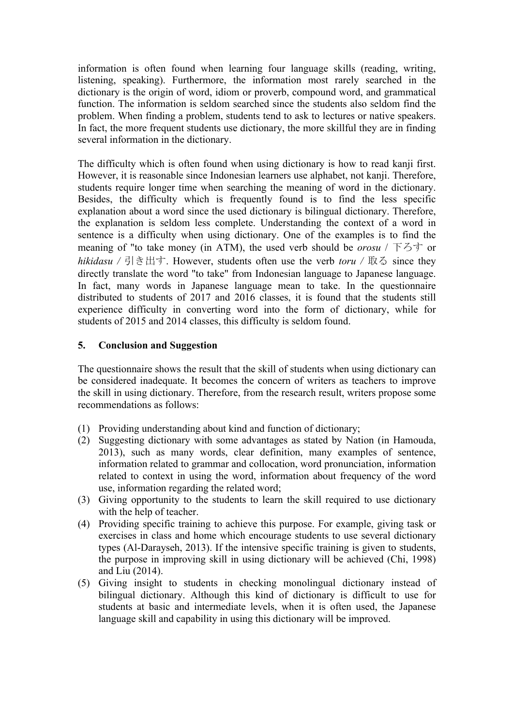information is often found when learning four language skills (reading, writing, listening, speaking). Furthermore, the information most rarely searched in the dictionary is the origin of word, idiom or proverb, compound word, and grammatical function. The information is seldom searched since the students also seldom find the problem. When finding a problem, students tend to ask to lectures or native speakers. In fact, the more frequent students use dictionary, the more skillful they are in finding several information in the dictionary.

The difficulty which is often found when using dictionary is how to read kanji first. However, it is reasonable since Indonesian learners use alphabet, not kanji. Therefore, students require longer time when searching the meaning of word in the dictionary. Besides, the difficulty which is frequently found is to find the less specific explanation about a word since the used dictionary is bilingual dictionary. Therefore, the explanation is seldom less complete. Understanding the context of a word in sentence is a difficulty when using dictionary. One of the examples is to find the meaning of "to take money (in ATM), the used verb should be *orosu* / 下ろす or *hikidasu /* 引き出す. However, students often use the verb *toru /* 取る since they directly translate the word "to take" from Indonesian language to Japanese language. In fact, many words in Japanese language mean to take. In the questionnaire distributed to students of 2017 and 2016 classes, it is found that the students still experience difficulty in converting word into the form of dictionary, while for students of 2015 and 2014 classes, this difficulty is seldom found.

# **5. Conclusion and Suggestion**

The questionnaire shows the result that the skill of students when using dictionary can be considered inadequate. It becomes the concern of writers as teachers to improve the skill in using dictionary. Therefore, from the research result, writers propose some recommendations as follows:

- (1) Providing understanding about kind and function of dictionary;
- (2) Suggesting dictionary with some advantages as stated by Nation (in Hamouda, 2013), such as many words, clear definition, many examples of sentence, information related to grammar and collocation, word pronunciation, information related to context in using the word, information about frequency of the word use, information regarding the related word;
- (3) Giving opportunity to the students to learn the skill required to use dictionary with the help of teacher.
- (4) Providing specific training to achieve this purpose. For example, giving task or exercises in class and home which encourage students to use several dictionary types (Al-Darayseh, 2013). If the intensive specific training is given to students, the purpose in improving skill in using dictionary will be achieved (Chi, 1998) and Liu (2014).
- (5) Giving insight to students in checking monolingual dictionary instead of bilingual dictionary. Although this kind of dictionary is difficult to use for students at basic and intermediate levels, when it is often used, the Japanese language skill and capability in using this dictionary will be improved.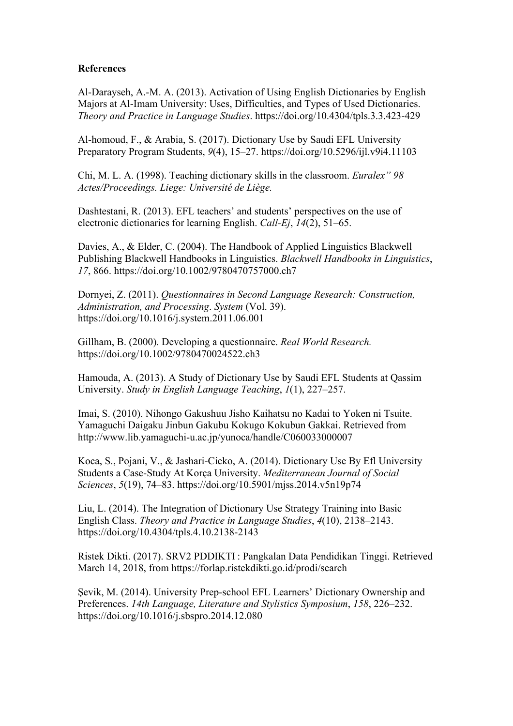### **References**

Al-Darayseh, A.-M. A. (2013). Activation of Using English Dictionaries by English Majors at Al-Imam University: Uses, Difficulties, and Types of Used Dictionaries. *Theory and Practice in Language Studies*. https://doi.org/10.4304/tpls.3.3.423-429

Al-homoud, F., & Arabia, S. (2017). Dictionary Use by Saudi EFL University Preparatory Program Students, *9*(4), 15–27. https://doi.org/10.5296/ijl.v9i4.11103

Chi, M. L. A. (1998). Teaching dictionary skills in the classroom. *Euralex" 98 Actes/Proceedings. Liege: Université de Liège.*

Dashtestani, R. (2013). EFL teachers' and students' perspectives on the use of electronic dictionaries for learning English. *Call-Ej*, *14*(2), 51–65.

Davies, A., & Elder, C. (2004). The Handbook of Applied Linguistics Blackwell Publishing Blackwell Handbooks in Linguistics. *Blackwell Handbooks in Linguistics*, *17*, 866. https://doi.org/10.1002/9780470757000.ch7

Dornyei, Z. (2011). *Questionnaires in Second Language Research: Construction, Administration, and Processing*. *System* (Vol. 39). https://doi.org/10.1016/j.system.2011.06.001

Gillham, B. (2000). Developing a questionnaire. *Real World Research.* https://doi.org/10.1002/9780470024522.ch3

Hamouda, A. (2013). A Study of Dictionary Use by Saudi EFL Students at Qassim University. *Study in English Language Teaching*, *1*(1), 227–257.

Imai, S. (2010). Nihongo Gakushuu Jisho Kaihatsu no Kadai to Yoken ni Tsuite. Yamaguchi Daigaku Jinbun Gakubu Kokugo Kokubun Gakkai. Retrieved from http://www.lib.yamaguchi-u.ac.jp/yunoca/handle/C060033000007

Koca, S., Pojani, V., & Jashari-Cicko, A. (2014). Dictionary Use By Efl University Students a Case-Study At Korça University. *Mediterranean Journal of Social Sciences*, *5*(19), 74–83. https://doi.org/10.5901/mjss.2014.v5n19p74

Liu, L. (2014). The Integration of Dictionary Use Strategy Training into Basic English Class. *Theory and Practice in Language Studies*, *4*(10), 2138–2143. https://doi.org/10.4304/tpls.4.10.2138-2143

Ristek Dikti. (2017). SRV2 PDDIKTI : Pangkalan Data Pendidikan Tinggi. Retrieved March 14, 2018, from https://forlap.ristekdikti.go.id/prodi/search

Şevik, M. (2014). University Prep-school EFL Learners' Dictionary Ownership and Preferences. *14th Language, Literature and Stylistics Symposium*, *158*, 226–232. https://doi.org/10.1016/j.sbspro.2014.12.080